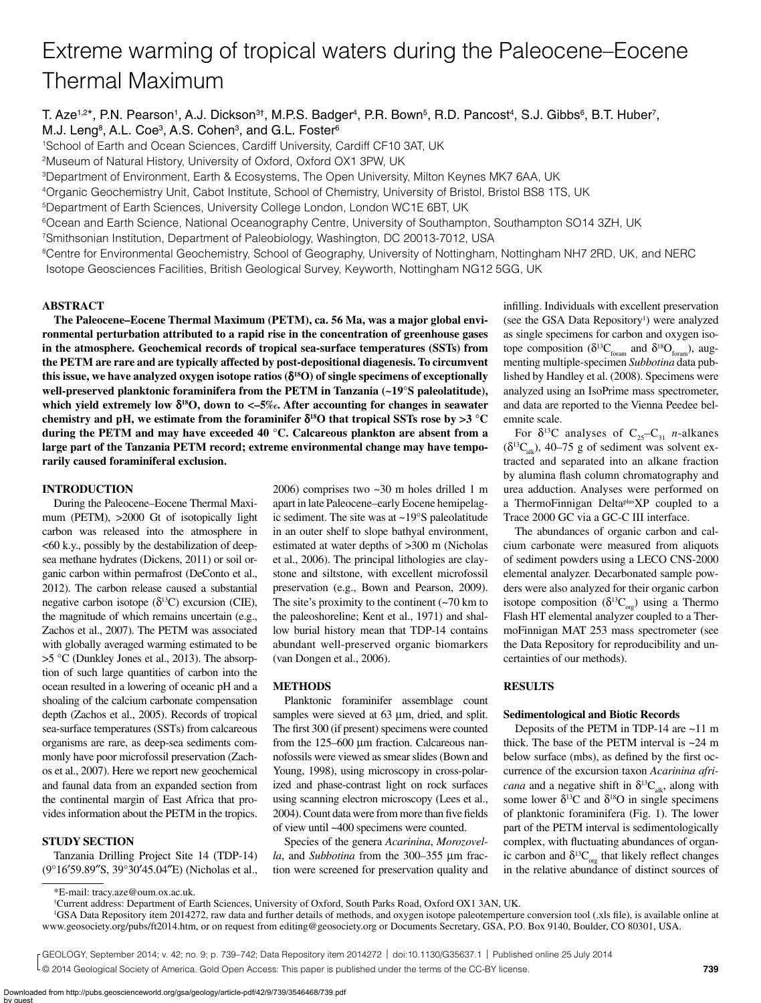# Extreme warming of tropical waters during the Paleocene–Eocene Thermal Maximum

T. Aze<sup>1,2\*</sup>, P.N. Pearson<sup>1</sup>, A.J. Dickson<sup>3†</sup>, M.P.S. Badger<sup>4</sup>, P.R. Bown<sup>5</sup>, R.D. Pancost<sup>4</sup>, S.J. Gibbs<sup>6</sup>, B.T. Huber<sup>7</sup>, M.J. Leng<sup>8</sup>, A.L. Coe<sup>3</sup>, A.S. Cohen<sup>3</sup>, and G.L. Foster<sup>6</sup>

1School of Earth and Ocean Sciences, Cardiff University, Cardiff CF10 3AT, UK

2Museum of Natural History, University of Oxford, Oxford OX1 3PW, UK

3Department of Environment, Earth & Ecosystems, The Open University, Milton Keynes MK7 6AA, UK

4Organic Geochemistry Unit, Cabot Institute, School of Chemistry, University of Bristol, Bristol BS8 1TS, UK

5Department of Earth Sciences, University College London, London WC1E 6BT, UK

6Ocean and Earth Science, National Oceanography Centre, University of Southampton, Southampton SO14 3ZH, UK

7Smithsonian Institution, Department of Paleobiology, Washington, DC 20013-7012, USA

8Centre for Environmental Geochemistry, School of Geography, University of Nottingham, Nottingham NH7 2RD, UK, and NERC Isotope Geosciences Facilities, British Geological Survey, Keyworth, Nottingham NG12 5GG, UK

## **ABSTRACT**

**The Paleocene–Eocene Thermal Maximum (PETM), ca. 56 Ma, was a major global environmental perturbation attributed to a rapid rise in the concentration of greenhouse gases in the atmosphere. Geochemical records of tropical sea-surface temperatures (SSTs) from the PETM are rare and are typically affected by post-depositional diagenesis. To circumvent**  this issue, we have analyzed oxygen isotope ratios  $(\delta^{18}O)$  of single specimens of exceptionally **well-preserved planktonic foraminifera from the PETM in Tanzania (~19°S paleolatitude),**  which yield extremely low  $\delta^{18}O$ , down to <–5‰. After accounting for changes in seawater chemistry and pH, we estimate from the foraminifer  $\delta^{18}$ O that tropical SSTs rose by  $>3$  °C **during the PETM and may have exceeded 40 °C. Calcareous plankton are absent from a large part of the Tanzania PETM record; extreme environmental change may have temporarily caused foraminiferal exclusion.**

# **INTRODUCTION**

During the Paleocene–Eocene Thermal Maximum (PETM), >2000 Gt of isotopically light carbon was released into the atmosphere in <60 k.y., possibly by the destabilization of deepsea methane hydrates (Dickens, 2011) or soil organic carbon within permafrost (DeConto et al., 2012). The carbon release caused a substantial negative carbon isotope  $(\delta^{13}C)$  excursion (CIE), the magnitude of which remains uncertain (e.g., Zachos et al., 2007). The PETM was associated with globally averaged warming estimated to be >5 °C (Dunkley Jones et al., 2013). The absorption of such large quantities of carbon into the ocean resulted in a lowering of oceanic pH and a shoaling of the calcium carbonate compensation depth (Zachos et al., 2005). Records of tropical sea-surface temperatures (SSTs) from calcareous organisms are rare, as deep-sea sediments commonly have poor microfossil preservation (Zachos et al., 2007). Here we report new geochemical and faunal data from an expanded section from the continental margin of East Africa that provides information about the PETM in the tropics.

# **STUDY SECTION**

Tanzania Drilling Project Site 14 (TDP-14) (9°16′59.89″S, 39°30′45.04″E) (Nicholas et al., 2006) comprises two ~30 m holes drilled 1 m apart in late Paleocene–early Eocene hemipelagic sediment. The site was at ~19°S paleolatitude in an outer shelf to slope bathyal environment, estimated at water depths of >300 m (Nicholas et al., 2006). The principal lithologies are claystone and siltstone, with excellent microfossil preservation (e.g., Bown and Pearson, 2009). The site's proximity to the continent  $(\sim 70 \text{ km to})$ the paleoshoreline; Kent et al., 1971) and shallow burial history mean that TDP-14 contains abundant well-preserved organic biomarkers (van Dongen et al., 2006).

# **METHODS**

Planktonic foraminifer assemblage count samples were sieved at  $63 \mu m$ , dried, and split. The first 300 (if present) specimens were counted from the  $125-600 \mu m$  fraction. Calcareous nannofossils were viewed as smear slides (Bown and Young, 1998), using microscopy in cross-polarized and phase-contrast light on rock surfaces using scanning electron microscopy (Lees et al., 2004). Count data were from more than five fields of view until ~400 specimens were counted.

Species of the genera *Acarinina*, *Morozovella*, and *Subbotina* from the 300–355 µm fraction were screened for preservation quality and infilling. Individuals with excellent preservation (see the GSA Data Repository<sup>1</sup>) were analyzed as single specimens for carbon and oxygen isotope composition ( $\delta^{13}C_{\text{form}}$  and  $\delta^{18}O_{\text{form}}$ ), augmenting multiple-specimen *Subbotina* data published by Handley et al. (2008). Specimens were analyzed using an IsoPrime mass spectrometer, and data are reported to the Vienna Peedee belemnite scale.

For  $\delta^{13}$ C analyses of C<sub>25</sub>–C<sub>31</sub> *n*-alkanes  $(\delta^{13}C_{ab})$ , 40–75 g of sediment was solvent extracted and separated into an alkane fraction by alumina flash column chromatography and urea adduction. Analyses were performed on a ThermoFinnigan DeltaplusXP coupled to a Trace 2000 GC via a GC-C III interface.

The abundances of organic carbon and calcium carbonate were measured from aliquots of sediment powders using a LECO CNS-2000 elemental analyzer. Decarbonated sample powders were also analyzed for their organic carbon isotope composition ( $\delta^{13}C_{\text{org}}$ ) using a Thermo Flash HT elemental analyzer coupled to a ThermoFinnigan MAT 253 mass spectrometer (see the Data Repository for reproducibility and uncertainties of our methods).

# **RESULTS**

#### **Sedimentological and Biotic Records**

Deposits of the PETM in TDP-14 are ~11 m thick. The base of the PETM interval is  $\sim$ 24 m below surface (mbs), as defined by the first occurrence of the excursion taxon *Acarinina africana* and a negative shift in  $\delta^{13}C_{alk}$ , along with some lower  $\delta^{13}$ C and  $\delta^{18}$ O in single specimens of planktonic foraminifera (Fig. 1). The lower part of the PETM interval is sedimentologically complex, with fluctuating abundances of organic carbon and  $\delta^{13}C_{\text{ore}}$  that likely reflect changes in the relative abundance of distinct sources of

© 2014 Geological Society of America. Gold Open Access: This paper is published under the terms of the CC-BY license. GEOLOGY, September 2014; v. 42; no. 9; p. 739–742; Data Repository item 2014272 | doi:10.1130/G35637.1 | Published online 25 July 2014

<sup>\*</sup>E-mail: tracy.aze@oum.ox.ac.uk.

<sup>†</sup> Current address: Department of Earth Sciences, University of Oxford, South Parks Road, Oxford OX1 3AN, UK.

<sup>1</sup> GSA Data Repository item 2014272, raw data and further details of methods, and oxygen isotope paleotemperture conversion tool (.xls file), is available online at www.geosociety.org/pubs/ft2014.htm, or on request from editing@geosociety.org or Documents Secretary, GSA, P.O. Box 9140, Boulder, CO 80301, USA.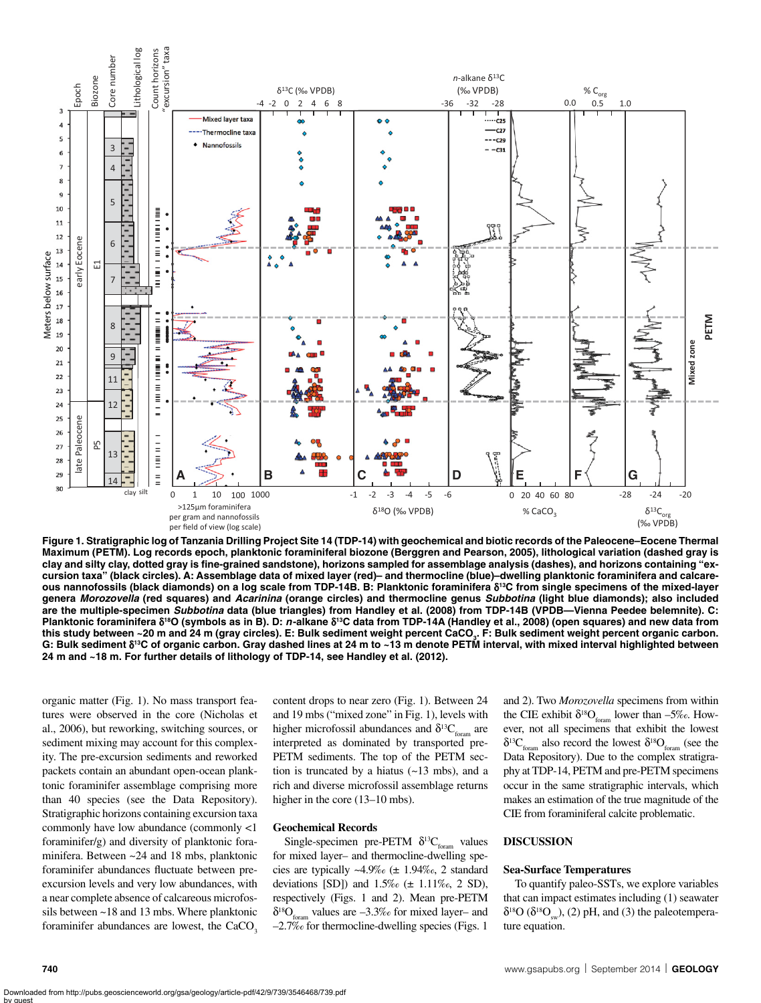

**Figure 1. Stratigraphic log of Tanzania Drilling Project Site 14 (TDP-14) with geochemical and biotic records of the Paleocene–Eocene Thermal Maximum (PETM). Log records epoch, planktonic foraminiferal biozone (Berggren and Pearson, 2005), lithological variation (dashed gray is clay and silty clay, dotted gray is fine-grained sandstone), horizons sampled for assemblage analysis (dashes), and horizons containing "excursion taxa" (black circles). A: Assemblage data of mixed layer (red)– and thermocline (blue)–dwelling planktonic foraminifera and calcareous nannofossils (black diamonds) on a log scale from TDP-14B. B: Planktonic foraminifera** d**13C from single specimens of the mixed-layer genera** *Morozovella* **(red squares) and** *Acarinina* **(orange circles) and thermocline genus** *Subbotina* **(light blue diamonds); also included are the multiple-specimen** *Subbotina* **data (blue triangles) from Handley et al. (2008) from TDP-14B (VPDB—Vienna Peedee belemnite). C:**  Planktonic foraminifera  $\delta^{18}$ O (symbols as in B). D: *n*-alkane  $\delta^{18}$ C data from TDP-14A (Handley et al., 2008) (open squares) and new data from this study between ~20 m and 24 m (gray circles). E: Bulk sediment weight percent CaCO<sub>3</sub>. F: Bulk sediment weight percent organic carbon. **G: Bulk sediment** d**13C of organic carbon. Gray dashed lines at 24 m to ~13 m denote PETM interval, with mixed interval highlighted between 24 m and ~18 m. For further details of lithology of TDP-14, see Handley et al. (2012).**

organic matter (Fig. 1). No mass transport features were observed in the core (Nicholas et al., 2006), but reworking, switching sources, or sediment mixing may account for this complexity. The pre-excursion sediments and reworked packets contain an abundant open-ocean planktonic foraminifer assemblage comprising more than 40 species (see the Data Repository). Stratigraphic horizons containing excursion taxa commonly have low abundance (commonly <1 foraminifer/g) and diversity of planktonic foraminifera. Between ~24 and 18 mbs, planktonic foraminifer abundances fluctuate between preexcursion levels and very low abundances, with a near complete absence of calcareous microfossils between ~18 and 13 mbs. Where planktonic foraminifer abundances are lowest, the  $CaCO<sub>3</sub>$  content drops to near zero (Fig. 1). Between 24 and 19 mbs ("mixed zone" in Fig. 1), levels with higher microfossil abundances and  $\delta^{13}C_{\text{form}}$  are interpreted as dominated by transported pre-PETM sediments. The top of the PETM section is truncated by a hiatus  $(-13 \text{ mbs})$ , and a rich and diverse microfossil assemblage returns higher in the core (13–10 mbs).

#### **Geochemical Records**

Single-specimen pre-PETM  $\delta^{13}C_{\text{form}}$  values for mixed layer– and thermocline-dwelling species are typically  $~\sim$ 4.9‰ ( $~\pm~1.94\%$ <sub>0</sub>, 2 standard deviations [SD]) and  $1.5\%$  ( $\pm$  1.11\% $\epsilon$ , 2 SD), respectively (Figs. 1 and 2). Mean pre-PETM  $\delta^{18}O_{\text{form}}$  values are  $-3.3\%$  for mixed layer– and –2.7‰ for thermocline-dwelling species (Figs. 1

and 2). Two *Morozovella* specimens from within the CIE exhibit  $\delta^{18}O_{\text{form}}$  lower than –5‰. However, not all specimens that exhibit the lowest  $\delta^{13}C_{\text{form}}$  also record the lowest  $\delta^{18}O_{\text{form}}$  (see the Data Repository). Due to the complex stratigraphy at TDP-14, PETM and pre-PETM specimens occur in the same stratigraphic intervals, which makes an estimation of the true magnitude of the CIE from foraminiferal calcite problematic.

## **DISCUSSION**

#### **Sea-Surface Temperatures**

To quantify paleo-SSTs, we explore variables that can impact estimates including (1) seawater  $\delta^{18}O$  ( $\delta^{18}O<sub>cm</sub>$ ), (2) pH, and (3) the paleotemperature equation.

by guest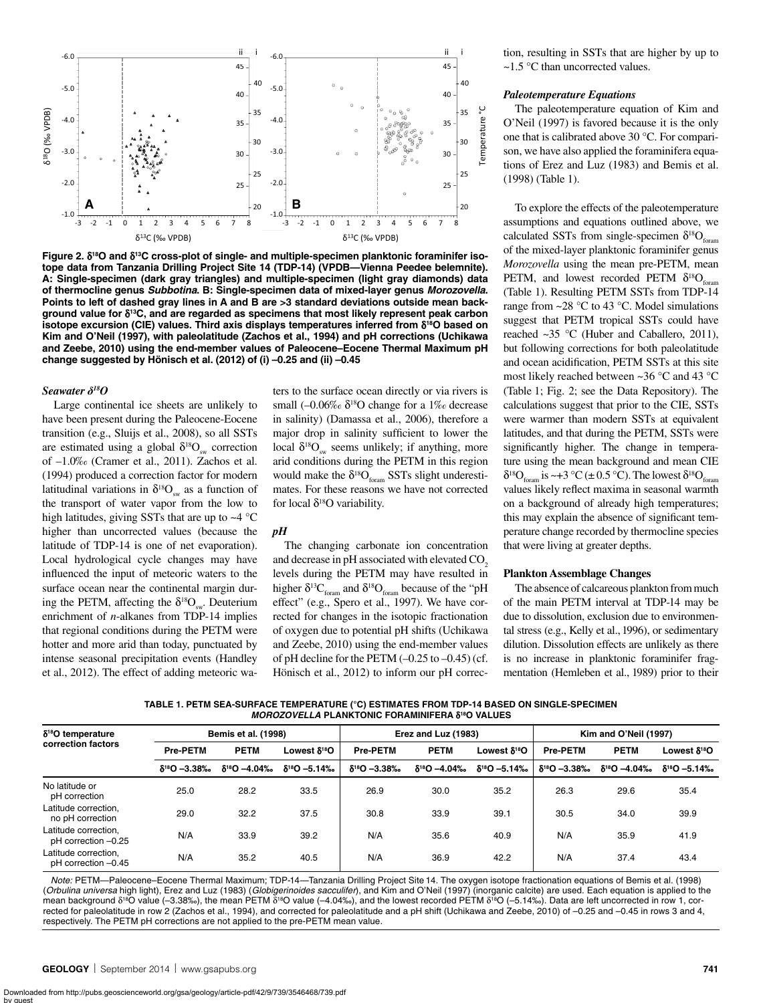

Figure 2.  $\delta^{18}$ O and  $\delta^{13}$ C cross-plot of single- and multiple-specimen planktonic foraminifer iso**tope data from Tanzania Drilling Project Site 14 (TDP-14) (VPDB—Vienna Peedee belemnite). A: Single-specimen (dark gray triangles) and multiple-specimen (light gray diamonds) data of thermocline genus** *Subbotina***. B: Single-specimen data of mixed-layer genus** *Morozovella***. Points to left of dashed gray lines in A and B are >3 standard deviations outside mean background value for** d**13C, and are regarded as specimens that most likely represent peak carbon isotope excursion (CIE) values. Third axis displays temperatures inferred from** d**18O based on Kim and O'Neil (1997), with paleolatitude (Zachos et al., 1994) and pH corrections (Uchikawa and Zeebe, 2010) using the end-member values of Paleocene–Eocene Thermal Maximum pH change suggested by Hönisch et al. (2012) of (i) –0.25 and (ii) –0.45**

### *Seawater δ18O*

Large continental ice sheets are unlikely to have been present during the Paleocene-Eocene transition (e.g., Sluijs et al., 2008), so all SSTs are estimated using a global  $\delta^{18}O_{\text{cm}}$  correction of –1.0‰ (Cramer et al., 2011). Zachos et al. (1994) produced a correction factor for modern latitudinal variations in  $\delta^{18}O_{\text{av}}$  as a function of the transport of water vapor from the low to high latitudes, giving SSTs that are up to  $\sim$  4 °C higher than uncorrected values (because the latitude of TDP-14 is one of net evaporation). Local hydrological cycle changes may have influenced the input of meteoric waters to the surface ocean near the continental margin during the PETM, affecting the  $\delta^{18}O_{\dots}$ . Deuterium enrichment of *n*-alkanes from TDP-14 implies that regional conditions during the PETM were hotter and more arid than today, punctuated by intense seasonal precipitation events (Handley et al., 2012). The effect of adding meteoric waters to the surface ocean directly or via rivers is small ( $-0.06\%$   $\delta^{18}$ O change for a 1‰ decrease in salinity) (Damassa et al., 2006), therefore a major drop in salinity sufficient to lower the local  $\delta^{18}O_{\text{sw}}$  seems unlikely; if anything, more arid conditions during the PETM in this region would make the  $\delta^{18}O_{\text{form}}$  SSTs slight underestimates. For these reasons we have not corrected for local  $\delta^{18}$ O variability.

# *pH*

The changing carbonate ion concentration and decrease in pH associated with elevated CO<sub>2</sub> levels during the PETM may have resulted in higher  $\delta^{13}C_{\text{form}}$  and  $\delta^{18}O_{\text{form}}$  because of the "pH effect" (e.g., Spero et al., 1997). We have corrected for changes in the isotopic fractionation of oxygen due to potential pH shifts (Uchikawa and Zeebe, 2010) using the end-member values of pH decline for the PETM  $(-0.25 \text{ to } -0.45)$  (cf. Hönisch et al., 2012) to inform our pH correction, resulting in SSTs that are higher by up to ~1.5 °C than uncorrected values.

#### *Paleotemperature Equations*

The paleotemperature equation of Kim and O'Neil (1997) is favored because it is the only one that is calibrated above 30 °C. For comparison, we have also applied the foraminifera equations of Erez and Luz (1983) and Bemis et al. (1998) (Table 1).

To explore the effects of the paleotemperature assumptions and equations outlined above, we calculated SSTs from single-specimen  $\delta^{18}O_{\text{form}}$ of the mixed-layer planktonic foraminifer genus *Morozovella* using the mean pre-PETM, mean PETM, and lowest recorded PETM  $\delta^{18}O_{\epsilon}$ (Table 1). Resulting PETM SSTs from TDP-14 range from  $\sim$ 28 °C to 43 °C. Model simulations suggest that PETM tropical SSTs could have reached ~35 °C (Huber and Caballero, 2011), but following corrections for both paleolatitude and ocean acidification, PETM SSTs at this site most likely reached between ~36 °C and 43 °C (Table 1; Fig. 2; see the Data Repository). The calculations suggest that prior to the CIE, SSTs were warmer than modern SSTs at equivalent latitudes, and that during the PETM, SSTs were significantly higher. The change in temperature using the mean background and mean CIE  $\delta^{18}O_{\text{form}}$  is ~+3 °C (± 0.5 °C). The lowest  $\delta^{18}O_{\text{form}}$ values likely reflect maxima in seasonal warmth on a background of already high temperatures; this may explain the absence of significant temperature change recorded by thermocline species that were living at greater depths.

#### **Plankton Assemblage Changes**

The absence of calcareous plankton from much of the main PETM interval at TDP-14 may be due to dissolution, exclusion due to environmental stress (e.g., Kelly et al., 1996), or sedimentary dilution. Dissolution effects are unlikely as there is no increase in planktonic foraminifer fragmentation (Hemleben et al., 1989) prior to their

**TABLE 1. PETM SEA-SURFACE TEMPERATURE (°C) ESTIMATES FROM TDP-14 BASED ON SINGLE-SPECIMEN**  *MOROZOVELLA* **PLANKTONIC FORAMINIFERA** δ**18O VALUES**

| $\delta^{18}$ O temperature<br>correction factors | <b>Bemis et al. (1998)</b> |                         |                         | Erez and Luz (1983)     |                         |                          | Kim and O'Neil (1997)   |                         |                          |
|---------------------------------------------------|----------------------------|-------------------------|-------------------------|-------------------------|-------------------------|--------------------------|-------------------------|-------------------------|--------------------------|
|                                                   | <b>Pre-PETM</b>            | <b>PETM</b>             | Lowest $\delta^{18}$ Ο  | <b>Pre-PETM</b>         | <b>PETM</b>             | Lowest δ <sup>18</sup> O | <b>Pre-PETM</b>         | <b>PETM</b>             | Lowest δ <sup>18</sup> O |
|                                                   | $\delta^{18}O - 3.38\%$    | $\delta^{18}O - 4.04\%$ | $\delta^{18}O - 5.14\%$ | $\delta^{18}O - 3.38\%$ | $\delta^{18}O - 4.04\%$ | $\delta^{18}O - 5.14\%$  | $\delta^{18}O - 3.38\%$ | $\delta^{18}O - 4.04\%$ | $\delta^{18}$ O -5.14‰   |
| No latitude or<br>pH correction                   | 25.0                       | 28.2                    | 33.5                    | 26.9                    | 30.0                    | 35.2                     | 26.3                    | 29.6                    | 35.4                     |
| Latitude correction.<br>no pH correction          | 29.0                       | 32.2                    | 37.5                    | 30.8                    | 33.9                    | 39.1                     | 30.5                    | 34.0                    | 39.9                     |
| Latitude correction.<br>pH correction -0.25       | N/A                        | 33.9                    | 39.2                    | N/A                     | 35.6                    | 40.9                     | N/A                     | 35.9                    | 41.9                     |
| Latitude correction,<br>pH correction -0.45       | N/A                        | 35.2                    | 40.5                    | N/A                     | 36.9                    | 42.2                     | N/A                     | 37.4                    | 43.4                     |

*Note:* PETM—Paleocene–Eocene Thermal Maximum; TDP-14—Tanzania Drilling Project Site 14. The oxygen isotope fractionation equations of Bemis et al. (1998) (*Orbulina universa* high light), Erez and Luz (1983) (*Globigerinoides sacculifer*), and Kim and O'Neil (1997) (inorganic calcite) are used. Each equation is applied to the mean background δ<sup>18</sup>O value (–3.38‰), the mean PETM δ<sup>18</sup>O value (–4.04‰), and the lowest recorded PETM δ<sup>18</sup>O (–5.14‰). Data are left uncorrected in row 1, corrected for paleolatitude in row 2 (Zachos et al., 1994), and corrected for paleolatitude and a pH shift (Uchikawa and Zeebe, 2010) of –0.25 and –0.45 in rows 3 and 4, respectively. The PETM pH corrections are not applied to the pre-PETM mean value.